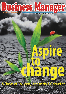# Bushess Manager **Making HR People Complete**

Stories of Courage, Leodership & Conviction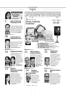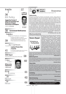www.businessmanager.in

# Inside

# 36<br>HR Policy

#### **Suggestive Format of Policy for Prevention and Redressal of Sexual Harassment at Workplace**

Drafted by -**Anil Kaushik**

**ignorant?**

57



**H.L. Kumar.**

#### 38 **Government Notifications**

### **Helpline**

Labour Problems & Solutions Questions by readers on variety of



problems they face at work and answered **39** by Anil Kaushik Chief Editor. Look at it.<br>These may also be of some help to you.

## **From The Court Room**<br>**Latest from the Courts** 41 Latest verdicts from different High Courts and Supreme<br>Court effecting employer employee relations.

**EVENT Report**

58 National Entrepreneurship seminar at JKLU, Jaipur





# **Is EPFO so**



An article by



### Response

https://www.facebook.com/businessmanagerhrmagazine

#### **High priority**

The June issue of Business manager has extensively covered various aspects of workplace productivity. The very well researched article by Viresh Mathur and Dr Manju Nair highlights the workers' and managers' differing perceptions on HRM and IR and justifies the need for management education to lay greater stress on IR aspects so that the HR Managers are more aware and no longer scared of IR issues. Any seasoned IR Manager will agree that a humanistic approach is the need of the day to find win-win solutions. I believe that sensitivity to workers grievances and their timely resolution will ensure better organizational climate and culture leading to better productivity.

Latha Nambisan , in the cover feature "Need to look at holistically!" rightly brings out the importance of HR managers acting as behavior analysts rather than business analysts. Today HR teams are caught up with "numbers", and probably there is a disconnect with the workers and shop floor realities which consequently leads to lack of motivation of workers and productivity. In the armed forces, the "synergy" and "connect" with the troops are 24x7 and sense of belonging and pride in the 'unit" is a way of life. Regular training to attain best fighting skills is highest priority in the armed forces, because, as they say, in battle there is no runners up!!

#### **Why low productivity**

#### **-Air Commodore KNV Nair, VSM**

Cover feature on employee productivity has come at high time when the companies



**Business Manager** 

are declaring their financial results. I am not disputing that HR function has not taken enough initiatives in respect of increasing employee productivity but according to recent study on about 400 BSE companies reflects that employee productivity during last year has taken a hit. Employee productivity - measured in terms of the revenue earned on each rupee spent on staff- fell to a three-year low in the last fiscal year, as employee cost grew at a faster pace than revenue. Each rupee spent on employees yielded revenue of Rs 12 in the year ended March 31, compared with Rs 12.40 in FY13 and Rs 12.90 in FY12. Employee cost as a proportion of revenue stood at 8.4% in FY14 -higher than 8.1 % in the previous year and 7.7% the year before. The trend remains the same in employee-

intensive sectors like information technology, banking and financial services as well as pharma. The reason behind this low productivity indicators might be becasuse despite modest growth in revenue, most companies have had to provide increments to their staff. **-Vaidyanathan. S**

#### **Balancing brain**

Tanvi article about management of emotions for workplace productivity provides very interesting insights. In Indian context we have never given so much importance to E.Q. in respect of employee productivity. It is necessary to teach managers about balancing both sides of brain.

#### **-Mandakni Mehra**

#### **Silent killer**

Anil Malik has touched the most ignored aspect in employee productivity which is a silent killer-absence from workplace. In the era of modern management when we talk too much of employee welfare with soft approach, some where we forget to look at the darker side of employee behaviour and that is absence. The author has very validly and inteligently raised certain issues and provided measures to control absenteesim. This problem can be successfully tackled at personal level through guidance and councilling also to bring the employee back in main stream.

**-Jagat Kumar**

#### **Unfolding**

DV Nandakumar has unfolded the complexities of much mis-understood subjectgood conduct bond. Kudos to him

**-Bharat Bhusan**

#### **Worth listening**

Ref. to editor's note. Wise Friends ! worth listening to and paying attention.

**-Satish Pradhan**

Readers are invited to comment on articles published in BM through email at : bmalwar@gmail.com

Business Manager  $02$  : July 2014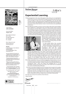

**July 2014** Vol. 17 No. 1

Chief Editor **ANIL KAUSHIK**

Associate Editor **Anjana Anil**

Hon'y Editorial Board Dr. T.V. Rao Dr. Rajen Mehrotra Dr. V.P. Singh H. L. Kumar

Hon'y Research Lead Indranil Banerjee indranil.hr@gmail.com

#### **DELHI :**

F- 482,Vikaspuri, New Delhi-18 **GHAZIABAD :** A - 39, Lohia Nagar, Naya

Ghaziabad (UP)

Owned, Published and Printed by Anil Kaushik at Sun Prints, Ganpati Tower, Nangli Circle, Alwar - 301001 and Published From B-138, Ambedkar Nagar, Alwar - 301001 ( Raj.) India Editor : Anil Kaushik

The views expressed in the articles published in Business Manager are those of the authors only and not necessarily of the Publisher/Editor.

While every effort is made to have no mistake in the magazine, errors do occur. Publishers do not own any responsibility for the losses or damages caused to any one due to such ommissions or errors.

Annual Subscription 900/- through DD (by ordinary Book-Post) (by Courier 1200/-) favouring **Business Manager** ( Please add 90/- to outstation Cheques) may be sent to:

B-138, Ambedkar Nagar, Alwar - 301001 (Raj.) India, Ph : 91-144 - 2372022 Mob.: 09785585134

**www.businessmanager.in**

E-mail : subscription@businessmanager.in bmalwar@gmail.com

Published on 1st of Every Month



www.businessmanager.in

**Business Manager** 

Editor's

## **Experiential Learning**

- Change management is the name of the game in this century. It is an organization's reality.We are, however, mostly afraid of change.We are afraid to give up what we know and adapt to what we do not know. Adaptability is the trait that helps manager manage an anticipated adverse challenge and develop equanimity with the new situations. High adaptedness is the most saught after trait in managers in the present context when business is done in most uncertain and unpredictable environment.
- The real challenge of change is not just to come up with an idea which may be brilliant but to implement it. Organisations that successfully manage change recognize that employees and their ability to perform are what drive business during the times of change. It requires an understanding of the human side of change and of the systems and methods needed to change employees' habits and overcome their emotions because people tend to resist change.Leading change is invariably a complex multi-facetted activity that can be influenced by numerous variables not necessarily always identifiable earlier. Sometimes change either do not take



place or even if it takes off, does not create desired impact simply because in most cases managerial capacity to implement change has been woefully underdeveloped. Managers need to go beyond posting things and ideas on the notice boards.

To make people believe that successful change initiatives bring overall growth in business and people, it is always good to use the power of example. Examples of those organizations that lead the change successfully and moved on a higher pedestal. Case studies have been found to be very

effective and popular tool in this respect. Going through case studies make managers believe that change in process, systems, technology, branding, human behavior, way of working and delivering can make the organization world class. Through this process managers may pitch upon a mirror view in which they may see their own existing situations reflected or they may also find ideas and solutions to the problems which they may face in future in their own organizations. Experiences of real life situations help managers learn more easily.

- Many Indian organizations have successfully managed the change and have come out as winners in business world.In a recent book SWITCH by Sujaya Banerjee, such 12 successful change case studies of Indian companies have been placed before the management world. . These case studies were adjudged best in L & OD Roundtable change interventions Asia study in 2013 which have accomplished the process of transformation effectively.
	- This issue's cover feature brings five such live change stories' excerpts for the readers to understand, know and believe that yes, change can only make you world class. Readers can feel how the philosophy shifts from one level to another to move beyond the doctrine of strategy-structure-system to one of purpose-processpeople.The change indeed is the precursor to effecting change all around by the power of illustration and these change stories are the best in practical life.

If you like it let us know. If not, well, let us know that too.

03 July 2014

Happy Reading!

wert

Business Manager

https://www.facebook.com/businessmanagerhrmagazine **Anil Kaushik** and and the www.businessmanager.in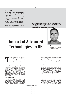#### **Idea in brief**

- 1. Tracking the communication and managing mobile culture are major challenges for HR executives.
- 2. There is a need for monitoring and controlling the online behaviours of employees in the organization.
- 3. The challenges brought by technologies include information security and physical security.
- 4. Big data analysis using analytics tools is the current trend in the organizations.

**Emerging technologies is bringing not only new challenges but many new changes in the HR function in organizations. This article highlights the impact of these advanced technologies on HR and people functions in the IT organizations.**

# **Impact of Advanced Technologies on HR** Dr. G.P. Sudhakar



*Faculty Member, ICFAI University Group, Hyderabad*

echnologies are changing faster than<br>the speed at which organizations can<br>grasp. In the IT industry, the HR<br>function is facing several changes<br>and challenges because of advanced<br>technologies. Advanced technologies such as, the speed at which organizations can grasp. In the IT industry, the HR function is facing several changes and challenges because of advanced cloud computing, mobile computing, pervasive computing, social technologies, Big Data and analytics are changing the face of the HR function in IT organizations. The traditional recruitment and training functions are undergoing drastic change. These technologies are not only changing the business models but also impacting the organizational culture, organizational learning, organizational structures, organizational design, intellectual property, information security and knowledge management.

#### **Cloud Computing**

Using cloud computing, the start-up organizations can start their operations from day one itself. Cloud is a logical network of computers with virtualization and storage facilities which provides infrastructure,

platforms and software. Clouds can be deployed in four forms. They are public clouds, private clouds, community clouds and hybrid clouds. Public clouds are accessible over Internet. With membership one can access the public clouds. Cloud providers own and operate public clouds. With public clouds such as Amazon Elastic Cloud availability, organizations need not worry about infrastructure. This feature is making the infrastructure teams in the organization redundant because these facilities are being provided by the cloud providers themselves. HR function should go behind infrastructure experts, is going to be decided by the usage of the clouds in the organization.

Private cloud is meant for an organization. It can be part of an enterprise network. Another deployment model is outsourcing the private cloud to 3rd party provider. This also makes the infrastructure team in the organization redundant. Hence, there is a challenge for the HR team in IT organization. Community cloud is meant for a group of organizations. In case of community clouds, that specific group of organizations have to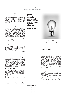share the responsibility of owning and operating the cloud with shared human resources to operate it.

Hybrid clouds are a combination of the clouds such as public and private, private and community, public and community clouds, etc. This kind of deployment model is also going to make some engineers in some organizations redundant.

Cloud computing comes with service models such as Infrastructure-as-a-Service (IaaS), Platform-as-a-Service (PaaS), Software-as-a-Service (SaaS), Business Process-as-a-Service (BaaS) and Anything-as-a-Service (XaaS). All these services are being provided by the cloud providers or cloud brokers. IaaS provides hardware, devices, networks, databases on the cloud. PaaS providers operating systems, development environments, programming environments, compilers and debuggers over the cloud. SaaS providers provide readymade software applications such as SalesForce CRM on the cloud. BaaS provides business processes such as procurement processes, inventory processes and fulfilment processes on the cloud. XaaS providers provide all the above services. Instead of paying employee salaries, organizations may end up in paying monthly subscription charges to the cloud providers and cloud brokers.

SaaS reduces the need for custom application developers because software is made available readymade. Hence, more than 60 per cent of the Fortune 500 organizations are either have or plan to have cloud computing projects in their organizations because of their inherent benefits. Using public clouds, employees can work from anywhere and anytime by connecting to the Internet. This brings another growing challenge to HR function of monitoring the employee performance and productivity remotely. What happens to the organizational culture and team building when an employee is working remotely for long durations? There are research studies on employee online behaviour impacting offline behaviour and organizational culture. Hence, there is a need for monitoring and controlling the online behaviours of employees in the organization.

#### **Mobile Computing**

Mobile computing is changing the face of customer support, financial services, customer relationships and employee relationships. Yahoo has given their managers smart phones. 2G, 3G and 4G are picking up in mobile area. Mobile devices are growing at fast rate in developing countries such as India. Smartphones are changing the face of retail, governing, education and healthcare across the world. To maintain a single source of contact for customers is a challenge today. Some companies are developing mobile apps for employee self-service. Organizations are going

**Advanced technologies such as, cloud computing, mobile computing, pervasive computing, social technologies, Big Data and analytics are changing the face of the HR function.**



mobile for operations in 24/7 model and for productivity reasons. Tracking the communication and managing mobile culture are major challenges for HR executives in the organizations. These are sometimes disrupting the important meetings and discussions as well in the organizations.

#### **Pervasive Computing**

*Pervasive computing embeds microprocessors in day to day devices and accessories so that the devices become smart and is able to communicate with each other.* The current trend is the Internet of Things in some parts of the developed world. It is yet to reach the developing world. For example, one can turn on thermostat at home while reaching the home from a distant radius remotely. A car can drive on its own and park itself. There are connected homes in the world. There are smart watches and smart shoes as well with embedded processors in it. These are all successfully tried experiments in some parts of the world. Japan's Honda would like to make zero human loss in accidents involving their cars by 2050. These are all the technological developments going on across the world. These disrupting technologies are making some roles redundant and saving time and money with increased accuracy. The challenges brought by these technologies include information security and physical security.

Integration of hardware and software and following standards are the major challenges for the organizations. HR has to find the highly skilled integration engineers, which is a tough job. This is also changing the business models of the organizations. Now hardware companies have to charge for software services and software companies have to be paid for